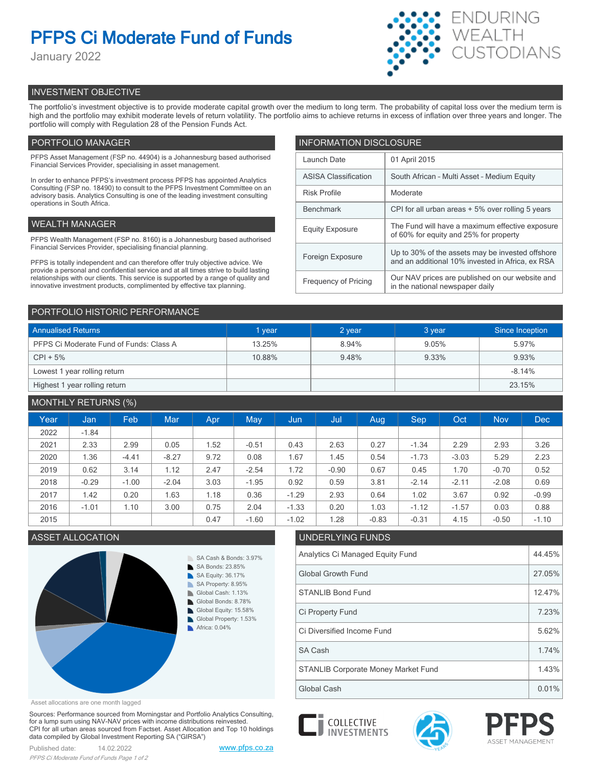# **PFPS Ci Moderate Fund of Funds**

January 2022



# INVESTMENT OBJECTIVE

The portfolio's investment objective is to provide moderate capital growth over the medium to long term. The probability of capital loss over the medium term is high and the portfolio may exhibit moderate levels of return volatility. The portfolio aims to achieve returns in excess of inflation over three years and longer. The portfolio will comply with Regulation 28 of the Pension Funds Act.

# PORTFOLIO MANAGER

PFPS Asset Management (FSP no. 44904) is a Johannesburg based authorised Financial Services Provider, specialising in asset management.

In order to enhance PFPS's investment process PFPS has appointed Analytics Consulting (FSP no. 18490) to consult to the PFPS Investment Committee on an advisory basis. Analytics Consulting is one of the leading investment consulting operations in South Africa.

## WEALTH MANAGER

PFPS Wealth Management (FSP no. 8160) is a Johannesburg based authorised Financial Services Provider, specialising financial planning.

PFPS is totally independent and can therefore offer truly objective advice. We provide a personal and confidential service and at all times strive to build lasting relationships with our clients. This service is supported by a range of quality and innovative investment products, complimented by effective tax planning.

| <b>INFORMATION DISCLOSURE</b> |                                                                                                      |  |  |  |  |
|-------------------------------|------------------------------------------------------------------------------------------------------|--|--|--|--|
| Launch Date                   | 01 April 2015                                                                                        |  |  |  |  |
| <b>ASISA Classification</b>   | South African - Multi Asset - Medium Equity                                                          |  |  |  |  |
| <b>Risk Profile</b>           | Moderate                                                                                             |  |  |  |  |
| <b>Benchmark</b>              | CPI for all urban areas + 5% over rolling 5 years                                                    |  |  |  |  |
| <b>Equity Exposure</b>        | The Fund will have a maximum effective exposure<br>of 60% for equity and 25% for property            |  |  |  |  |
| Foreign Exposure              | Up to 30% of the assets may be invested offshore<br>and an additional 10% invested in Africa, ex RSA |  |  |  |  |
| <b>Frequency of Pricing</b>   | Our NAV prices are published on our website and<br>in the national newspaper daily                   |  |  |  |  |

## PORTFOLIO HISTORIC PERFORMANCE

| <b>Annualised Returns</b>               | 1 year | 2 year | 3 year | Since Inception |
|-----------------------------------------|--------|--------|--------|-----------------|
| PFPS Ci Moderate Fund of Funds: Class A | 13.25% | 8.94%  | 9.05%  | 5.97%           |
| $CPI + 5%$                              | 10.88% | 9.48%  | 9.33%  | 9.93%           |
| Lowest 1 year rolling return            |        |        |        | $-8.14%$        |
| Highest 1 year rolling return           |        |        |        | 23.15%          |

# MONTHLY RETURNS (%)

|      |         | $\sqrt{2}$ |            |      |         |         |         |         |         |         |            |            |
|------|---------|------------|------------|------|---------|---------|---------|---------|---------|---------|------------|------------|
| Year | Jan     | Feb        | <b>Mar</b> | Apr  | May     | Jun     | Jul     | Aug     | Sep     | Oct     | <b>Nov</b> | <b>Dec</b> |
| 2022 | $-1.84$ |            |            |      |         |         |         |         |         |         |            |            |
| 2021 | 2.33    | 2.99       | 0.05       | .52  | $-0.51$ | 0.43    | 2.63    | 0.27    | $-1.34$ | 2.29    | 2.93       | 3.26       |
| 2020 | 1.36    | $-4.41$    | $-8.27$    | 9.72 | 0.08    | 1.67    | 1.45    | 0.54    | $-1.73$ | $-3.03$ | 5.29       | 2.23       |
| 2019 | 0.62    | 3.14       | 1.12       | 2.47 | $-2.54$ | 1.72    | $-0.90$ | 0.67    | 0.45    | 1.70    | $-0.70$    | 0.52       |
| 2018 | $-0.29$ | $-1.00$    | $-2.04$    | 3.03 | $-1.95$ | 0.92    | 0.59    | 3.81    | $-2.14$ | $-2.11$ | $-2.08$    | 0.69       |
| 2017 | 1.42    | 0.20       | 1.63       | 1.18 | 0.36    | $-1.29$ | 2.93    | 0.64    | 1.02    | 3.67    | 0.92       | $-0.99$    |
| 2016 | $-1.01$ | 1.10       | 3.00       | 0.75 | 2.04    | $-1.33$ | 0.20    | 1.03    | $-1.12$ | $-1.57$ | 0.03       | 0.88       |
| 2015 |         |            |            | 0.47 | $-1.60$ | $-1.02$ | 1.28    | $-0.83$ | $-0.31$ | 4.15    | $-0.50$    | $-1.10$    |

## **ASSET ALLOCATION**



| UNDERLYING FUNDS                    |        |  |  |  |
|-------------------------------------|--------|--|--|--|
| Analytics Ci Managed Equity Fund    | 44.45% |  |  |  |
| <b>Global Growth Fund</b>           | 27.05% |  |  |  |
| <b>STANLIB Bond Fund</b>            | 12.47% |  |  |  |
| Ci Property Fund                    | 7.23%  |  |  |  |
| Ci Diversified Income Fund          | 5.62%  |  |  |  |
| SA Cash                             | 1.74%  |  |  |  |
| STANLIB Corporate Money Market Fund | 1.43%  |  |  |  |

Asset allocations are one month lagged

Sources: Performance sourced from Morningstar and Portfolio Analytics Consulting, for a lump sum using NAV-NAV prices with income distributions reinvested. CPI for all urban areas sourced from Factset. Asset Allocation and Top 10 holdings data compiled by Global Investment Reporting SA ("GIRSA")





Global Cash 0.01%